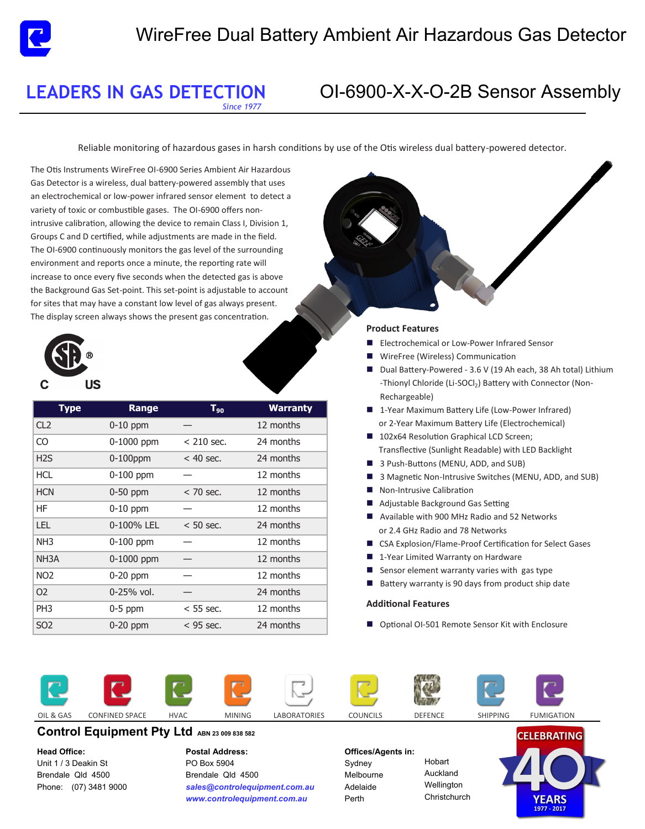## **LEADERS IN GAS DETECTION** OI-6900-O-2B Sensor Assembly

*Since 1977* 

Reliable monitoring of hazardous gases in harsh conditions by use of the Otis wireless dual battery-powered detector.

The Otis Instruments Wireless OI-6900-O-2B Series Ambient Air Hazardous Gas Detector is a wireless, dual battery-powered instrument that uses an electrochemical or low-power infrared sensor element to detect a variety of toxic or combustible gases. The OI-6900 offers non- intrusive calibration while adjustments are made in the field. The OI-6900 continuously monitors the gas level of the surrounding environment and reports once a minute. The reporting rate will increase to once every five seconds when the detected gas is above the Background Gas Set-point. This set-point is adjustable to account for sites that may have a constant low level of gas always present. The display screen always shows the present gas concentration.



| <b>Type</b>       | Range          | $T_{90}$     | <b>Warranty</b> |
|-------------------|----------------|--------------|-----------------|
| CL <sub>2</sub>   | $0-10$ ppm     |              | 12 months       |
| CO                | $0-1000$ ppm   | $< 210$ sec. | 24 months       |
| H <sub>2</sub> S  | $0-100$ ppm    | $<$ 40 sec.  | 24 months       |
| <b>HCL</b>        | $0-100$ ppm    |              | 12 months       |
| <b>HCN</b>        | 0-50 ppm       | $<$ 70 sec.  | 12 months       |
| HF                | $0-10$ ppm     |              | 12 months       |
| <b>LEL</b>        | 0-100% LEL     | $< 50$ sec.  | 24 months       |
| NH <sub>3</sub>   | 0-100 ppm      |              | 12 months       |
| NH <sub>3</sub> A | $0-1000$ ppm   |              | 12 months       |
| NO <sub>2</sub>   | $0-20$ ppm     |              | 12 months       |
| O <sub>2</sub>    | $0 - 25%$ vol. |              | 24 months       |
| PH <sub>3</sub>   | $0-5$ ppm      | $<$ 55 sec.  | 12 months       |
| SO <sub>2</sub>   | $0-20$ ppm     | $<$ 95 sec.  | 24 months       |

### **Product Features**

- **E** Electrochemical or Low-Power Infrared Sensor
- Wireless Communication
- Dual Battery-Powered (Non-Rechargebale
- 1-Year Maximum Battery Life (Low-Power Infrared) or 2-Year Maximum Battery Life (Electrochemical)
- 102x64 Resolution Graphical LCD Screen; Transflective (Sunlight Readable) with LED Backlight
- 3 Magnetic Non-Intrusive Switches
- Non-Intrusive Calibration
- Adjustable Background Gas Setting
- Available with 900 MHz Radio
- **Narranty on Hardware**
- Sensor element warranty varies with gas type (See Gas List)
- Battery warranty is 90 days from product ship date

### **Additional Features**

■ Optional OI-501 Remote Sensor Kit with Enclosure







**Control Equipment Pty Ltd ABN 23 009 838 582 Head Office:** 

Unit 1 / 3 Deakin St Brendale Qld 4500 Phone: (07) 3481 9000 **Postal Address:**  PO Box 5904 Brendale Qld 4500 *sales@controlequipment.com.au www.controlequipment.com.au*

### **Offices/Agents in:**

Sydney Melbourne Adelaide Perth

Hobart Auckland **Wellington Christchurch**